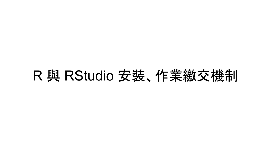## R 與 RStudio 安裝、作業繳交機制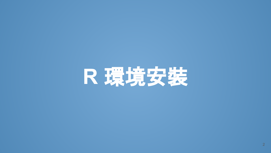# **R** 環境安裝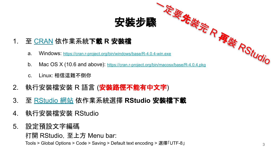### 安裝步驟

### 1. 至 [CRAN](https://cran.r-project.org/) 依作業系統下載 **R** 安裝檔

- a. Windows: <https://cran.r-project.org/bin/windows/base/R-4.0.4-win.exe>
- 老妻先装完R再装RStudio b. Mac OS X (10.6 and above): <https://cran.r-project.org/bin/macosx/base/R-4.0.4.pkg>
- c. Linux: 相信這難不倒你
- 2. 執行安裝檔安裝 R 語言 (安裝路徑不能有中文字)
- 3. 至 [RStudio](https://www.rstudio.com/products/rstudio/download/) 網站 依作業系統選擇 **RStudio** 安裝檔下載
- 4. 執行安裝檔安裝 RStudio
- 5. 設定預設文字編碼

打開 RStudio,至上方 Menu bar:

Tools > Global Options > Code > Saving > Default text encoding > 選擇「UTF-8」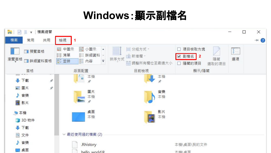### **Windows**:顯示副檔名

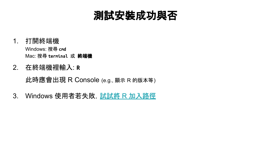### 測試安裝成功與否

- 1. 打開終端機 Windows: 搜尋 **cmd** Mac: 搜尋 **terminal** 或 終端機
- 2. 在終端機裡輸入: **R**

此時應會出現 R Console (e.g., 顯示 R 的版本等)

3. Windows 使用者若失敗, 試試將 R [加入路徑](https://drive.google.com/file/d/1HlvlIt2jAjcfAH4Uix1QVyBmMPxDRPEk/view)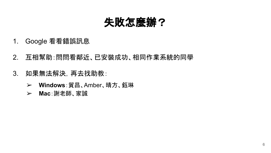### 失敗怎麼辦?

- 1. Google 看看錯誤訊息
- 2. 互相幫助:問問看鄰近、已安裝成功、相同作業系統的同學
- 3. 如果無法解決,再去找助教:
	- ➢ **Windows**:貿昌、Amber、晴方、鈺琳
	- ➢ **Mac**:謝老師、家誠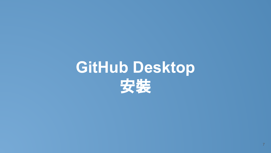## **GitHub Desktop**

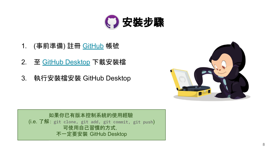

- 1. (事前準備) 註冊 [GitHub](https://github.com/) 帳號
- 2. 至 [GitHub Desktop](https://desktop.github.com/) 下載安裝檔
- 3. 執行安裝檔安裝 GitHub Desktop



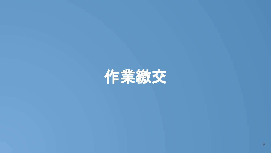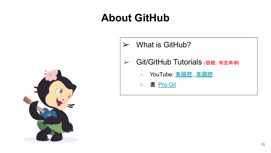### **About GitHub**



- $\triangleright$  What is GitHub?
- ➢ Git/GitHub Tutorials (很難,有空再學)
	- YouTube: <u>[美國腔、](https://www.youtube.com/watch?v=MJUJ4wbFm_A)[英國腔](https://www.youtube.com/playlist?list=PL4cUxeGkcC9goXbgTDQ0n_4TBzOO0ocPR)</u>
	- 書: <u>[Pro Git](https://git-scm.com/book/en/v2)</u>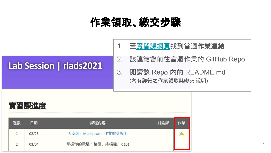### 作業領取、繳交步驟

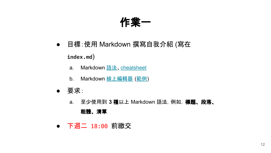作業一

- 目標:使用 Markdown 撰寫自我介紹 (寫在 **index.md**)
	- a. Markdown [語法](https://guides.github.com/features/mastering-markdown/)、[cheatsheet](https://guides.github.com/pdfs/markdown-cheatsheet-online.pdf)
	- b. Markdown <u>[線上編輯器](https://jbt.github.io/markdown-editor/)</u> (<u>[範例](https://jbt.github.io/markdown-editor/#fZNLUxpBEMfv8ymmyoscBDVVOVjGs4d4sVKVg5UqHxAhPjCyltcFJIBIABUQpATLCIiuQNCIsKvfJe489sRXSM+uiF6ye5ma7p7+dfe/pz+PTWAertFISu/G2M09+vDfD6FJUjkgyfgUniRKm+eKcGCtLrvJTyE0NIR1rUDPFZpIsl8dcdG/YcfXtJpDCBIROUUKVXZ1hcexITf17jl52GP5HcvRCGq0EDQKMi/72WGVRBp4Fs8sbK44vdvreHjePrvmnLc9yQFDzuld7TnfUZ1fH+haif0o0kCU7jdI/fJ1HAlVaCYMSXjthLbSf+XDvgleQhi/IoW8tBlAaMyO+WWMHJ8w5RAY9XaMpBPG6V5PzUMABrPIF+joXdnoqBBl+Nv64zVgGRmZ134Lp3HTiZc75CHLW2GaybFKCvoGvFZYTy0Kv3emH2nEgRkIeVUGVPbnwLjI0kiGxBu8efo6BqNxk07XHkWPQhdEjpmMuxA3qNoqtqfu6Q8xUg4AOcwASniS/YZ8xm6TcCCFDIuGxUFNw1s9NbK46l1a+b7llVy+nhplShSZeOYU62FyH2I3O/j96CgWSdsK9JUoWRJvkUTdmriotJNEaMQsKlEXZCYonntBY3d5QXtX5Wqd5Kpfht2StOGbcDi+LUr2ZY/k3lq0e7yOtWf/EZfTI3k3bUYpycsa/bnPohFyrr2pdthjd0FX1DYJd2gkiac/zXzE4EGrZ0RJ2gDnxXXO6swgaz+PXdoGbfnnltyuBcnndrmkgc/ylsfp8vXhlrxrjg3nV98AcRAz4l1f9ay77GC3iTbAj9AUtlQEc2S3ZbMzQS4HAZCUmiS1C+OglZgYllbS2/HnDQhVeCoLrRNq7xxb4wMfWohayoT9sGRpDUCoWawhrBk8DIoEIZJYml4UQUewg3DZt/NanCtHYiXeCrNvt9T4okMeCVs6/Ac=)</u>)
- 要求:
	- a. 至少使用到 **3** 種以上 Markdown 語法,例如,標題、段落、

#### 粗體、清單

● 下週二 18:00 前繳交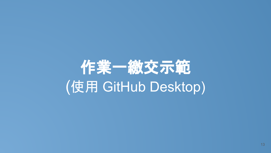## 作業一繳交示範 (使用 GitHub Desktop)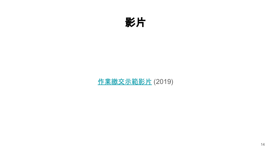

### [作業繳交示範影片](https://youtu.be/KUohDqkj9As) (2019)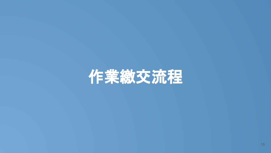